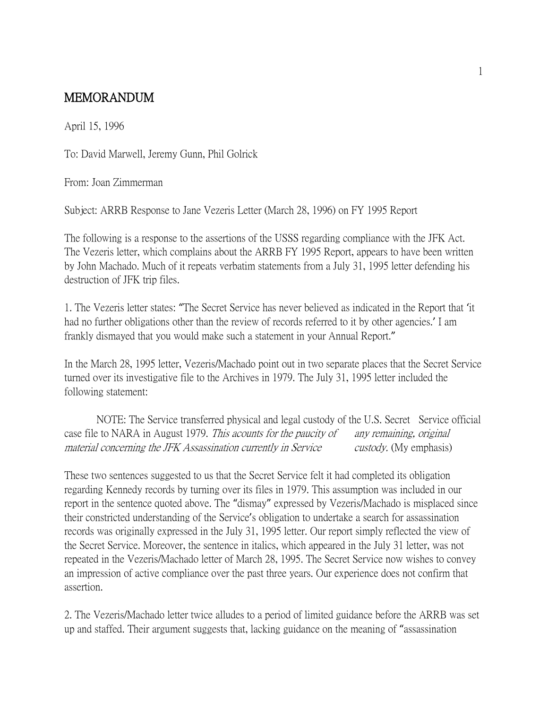## MEMORANDUM

April 15, 1996

To: David Marwell, Jeremy Gunn, Phil Golrick

From: Joan Zimmerman

Subject: ARRB Response to Jane Vezeris Letter (March 28, 1996) on FY 1995 Report

The following is a response to the assertions of the USSS regarding compliance with the JFK Act. The Vezeris letter, which complains about the ARRB FY 1995 Report, appears to have been written by John Machado. Much of it repeats verbatim statements from a July 31, 1995 letter defending his destruction of JFK trip files.

1. The Vezeris letter states: "The Secret Service has never believed as indicated in the Report that 'it had no further obligations other than the review of records referred to it by other agencies.' I am frankly dismayed that you would make such a statement in your Annual Report."

In the March 28, 1995 letter, Vezeris/Machado point out in two separate places that the Secret Service turned over its investigative file to the Archives in 1979. The July 31, 1995 letter included the following statement:

NOTE: The Service transferred physical and legal custody of the U.S. Secret Service official case file to NARA in August 1979. This acounts for the paucity of any remaining, original material concerning the JFK Assassination currently in Service custody. (My emphasis)

These two sentences suggested to us that the Secret Service felt it had completed its obligation regarding Kennedy records by turning over its files in 1979. This assumption was included in our report in the sentence quoted above. The "dismay" expressed by Vezeris/Machado is misplaced since their constricted understanding of the Service's obligation to undertake a search for assassination records was originally expressed in the July 31, 1995 letter. Our report simply reflected the view of the Secret Service. Moreover, the sentence in italics, which appeared in the July 31 letter, was not repeated in the Vezeris/Machado letter of March 28, 1995. The Secret Service now wishes to convey an impression of active compliance over the past three years. Our experience does not confirm that assertion.

2. The Vezeris/Machado letter twice alludes to a period of limited guidance before the ARRB was set up and staffed. Their argument suggests that, lacking guidance on the meaning of "assassination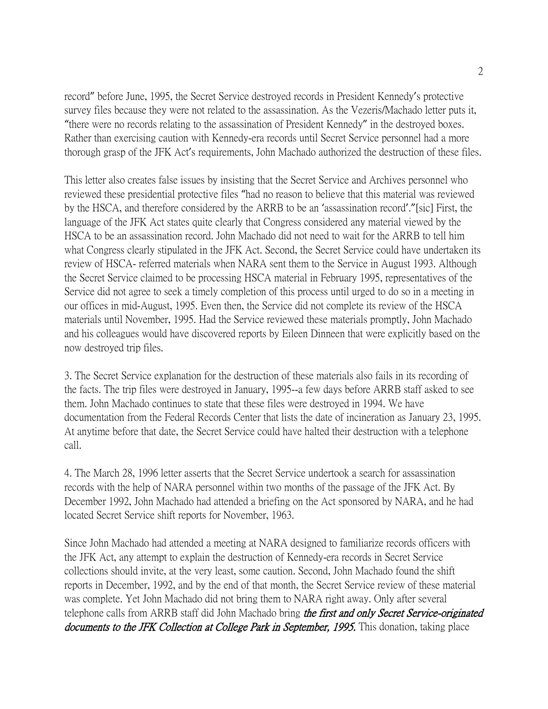record" before June, 1995, the Secret Service destroyed records in President Kennedy's protective survey files because they were not related to the assassination. As the Vezeris/Machado letter puts it, "there were no records relating to the assassination of President Kennedy" in the destroyed boxes. Rather than exercising caution with Kennedy-era records until Secret Service personnel had a more thorough grasp of the JFK Act's requirements, John Machado authorized the destruction of these files.

This letter also creates false issues by insisting that the Secret Service and Archives personnel who reviewed these presidential protective files "had no reason to believe that this material was reviewed by the HSCA, and therefore considered by the ARRB to be an 'assassination record'."[sic] First, the language of the JFK Act states quite clearly that Congress considered any material viewed by the HSCA to be an assassination record. John Machado did not need to wait for the ARRB to tell him what Congress clearly stipulated in the JFK Act. Second, the Secret Service could have undertaken its review of HSCA- referred materials when NARA sent them to the Service in August 1993. Although the Secret Service claimed to be processing HSCA material in February 1995, representatives of the Service did not agree to seek a timely completion of this process until urged to do so in a meeting in our offices in mid-August, 1995. Even then, the Service did not complete its review of the HSCA materials until November, 1995. Had the Service reviewed these materials promptly, John Machado and his colleagues would have discovered reports by Eileen Dinneen that were explicitly based on the now destroyed trip files.

3. The Secret Service explanation for the destruction of these materials also fails in its recording of the facts. The trip files were destroyed in January, 1995--a few days before ARRB staff asked to see them. John Machado continues to state that these files were destroyed in 1994. We have documentation from the Federal Records Center that lists the date of incineration as January 23, 1995. At anytime before that date, the Secret Service could have halted their destruction with a telephone call.

4. The March 28, 1996 letter asserts that the Secret Service undertook a search for assassination records with the help of NARA personnel within two months of the passage of the JFK Act. By December 1992, John Machado had attended a briefing on the Act sponsored by NARA, and he had located Secret Service shift reports for November, 1963.

Since John Machado had attended a meeting at NARA designed to familiarize records officers with the JFK Act, any attempt to explain the destruction of Kennedy-era records in Secret Service collections should invite, at the very least, some caution. Second, John Machado found the shift reports in December, 1992, and by the end of that month, the Secret Service review of these material was complete. Yet John Machado did not bring them to NARA right away. Only after several telephone calls from ARRB staff did John Machado bring the first and only Secret Service-originated documents to the JFK Collection at College Park in September, 1995. This donation, taking place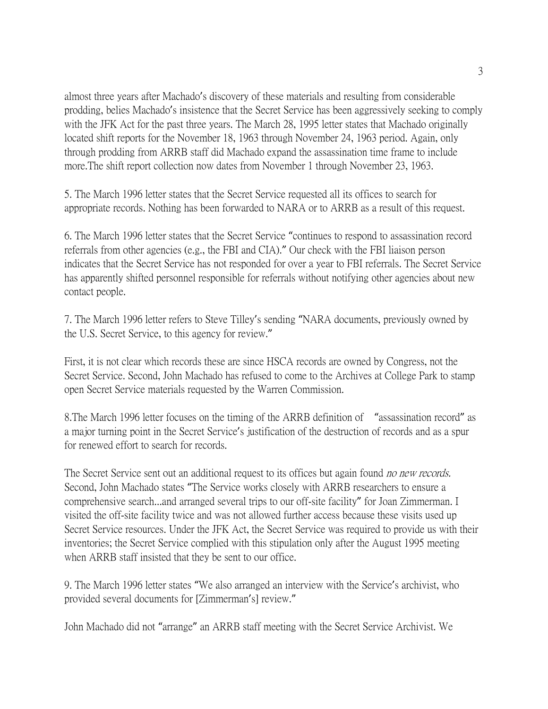almost three years after Machado's discovery of these materials and resulting from considerable prodding, belies Machado's insistence that the Secret Service has been aggressively seeking to comply with the JFK Act for the past three years. The March 28, 1995 letter states that Machado originally located shift reports for the November 18, 1963 through November 24, 1963 period. Again, only through prodding from ARRB staff did Machado expand the assassination time frame to include more.The shift report collection now dates from November 1 through November 23, 1963.

5. The March 1996 letter states that the Secret Service requested all its offices to search for appropriate records. Nothing has been forwarded to NARA or to ARRB as a result of this request.

6. The March 1996 letter states that the Secret Service "continues to respond to assassination record referrals from other agencies (e.g., the FBI and CIA)." Our check with the FBI liaison person indicates that the Secret Service has not responded for over a year to FBI referrals. The Secret Service has apparently shifted personnel responsible for referrals without notifying other agencies about new contact people.

7. The March 1996 letter refers to Steve Tilley's sending "NARA documents, previously owned by the U.S. Secret Service, to this agency for review."

First, it is not clear which records these are since HSCA records are owned by Congress, not the Secret Service. Second, John Machado has refused to come to the Archives at College Park to stamp open Secret Service materials requested by the Warren Commission.

8.The March 1996 letter focuses on the timing of the ARRB definition of "assassination record" as a major turning point in the Secret Service's justification of the destruction of records and as a spur for renewed effort to search for records.

The Secret Service sent out an additional request to its offices but again found *no new records*. Second, John Machado states "The Service works closely with ARRB researchers to ensure a comprehensive search...and arranged several trips to our off-site facility" for Joan Zimmerman. I visited the off-site facility twice and was not allowed further access because these visits used up Secret Service resources. Under the JFK Act, the Secret Service was required to provide us with their inventories; the Secret Service complied with this stipulation only after the August 1995 meeting when ARRB staff insisted that they be sent to our office.

9. The March 1996 letter states "We also arranged an interview with the Service's archivist, who provided several documents for [Zimmerman's] review."

John Machado did not "arrange" an ARRB staff meeting with the Secret Service Archivist. We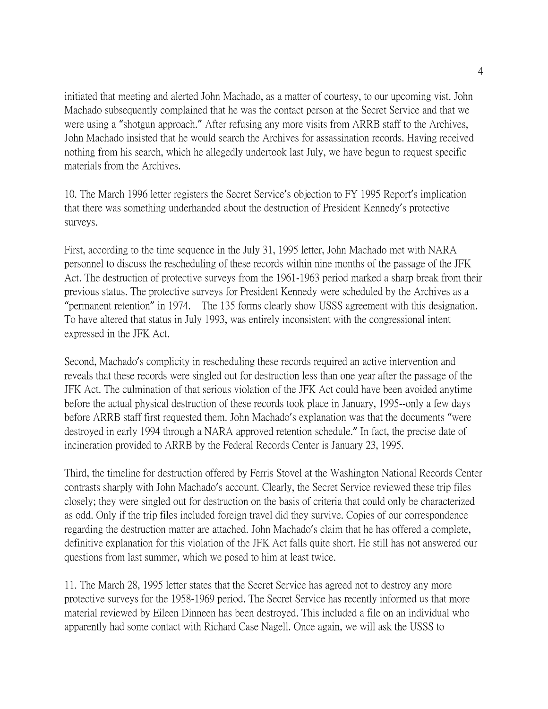initiated that meeting and alerted John Machado, as a matter of courtesy, to our upcoming vist. John Machado subsequently complained that he was the contact person at the Secret Service and that we were using a "shotgun approach." After refusing any more visits from ARRB staff to the Archives, John Machado insisted that he would search the Archives for assassination records. Having received nothing from his search, which he allegedly undertook last July, we have begun to request specific materials from the Archives.

10. The March 1996 letter registers the Secret Service's objection to FY 1995 Report's implication that there was something underhanded about the destruction of President Kennedy's protective surveys.

First, according to the time sequence in the July 31, 1995 letter, John Machado met with NARA personnel to discuss the rescheduling of these records within nine months of the passage of the JFK Act. The destruction of protective surveys from the 1961-1963 period marked a sharp break from their previous status. The protective surveys for President Kennedy were scheduled by the Archives as a "permanent retention" in 1974. The 135 forms clearly show USSS agreement with this designation. To have altered that status in July 1993, was entirely inconsistent with the congressional intent expressed in the JFK Act.

Second, Machado's complicity in rescheduling these records required an active intervention and reveals that these records were singled out for destruction less than one year after the passage of the JFK Act. The culmination of that serious violation of the JFK Act could have been avoided anytime before the actual physical destruction of these records took place in January, 1995--only a few days before ARRB staff first requested them. John Machado's explanation was that the documents "were destroyed in early 1994 through a NARA approved retention schedule." In fact, the precise date of incineration provided to ARRB by the Federal Records Center is January 23, 1995.

Third, the timeline for destruction offered by Ferris Stovel at the Washington National Records Center contrasts sharply with John Machado's account. Clearly, the Secret Service reviewed these trip files closely; they were singled out for destruction on the basis of criteria that could only be characterized as odd. Only if the trip files included foreign travel did they survive. Copies of our correspondence regarding the destruction matter are attached. John Machado's claim that he has offered a complete, definitive explanation for this violation of the JFK Act falls quite short. He still has not answered our questions from last summer, which we posed to him at least twice.

11. The March 28, 1995 letter states that the Secret Service has agreed not to destroy any more protective surveys for the 1958-1969 period. The Secret Service has recently informed us that more material reviewed by Eileen Dinneen has been destroyed. This included a file on an individual who apparently had some contact with Richard Case Nagell. Once again, we will ask the USSS to